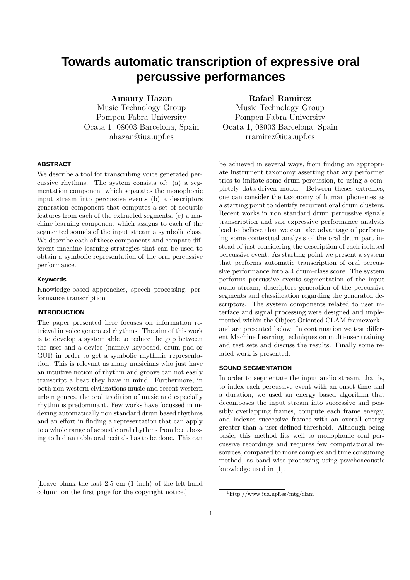# **Towards automatic transcription of expressive oral percussive performances**

Amaury Hazan

Music Technology Group Pompeu Fabra University Ocata 1, 08003 Barcelona, Spain ahazan@iua.upf.es

#### **ABSTRACT**

We describe a tool for transcribing voice generated percussive rhythms. The system consists of: (a) a segmentation component which separates the monophonic input stream into percussive events (b) a descriptors generation component that computes a set of acoustic features from each of the extracted segments, (c) a machine learning component which assigns to each of the segmented sounds of the input stream a symbolic class. We describe each of these components and compare different machine learning strategies that can be used to obtain a symbolic representation of the oral percussive performance.

#### **Keywords**

Knowledge-based approaches, speech processing, performance transcription

#### **INTRODUCTION**

The paper presented here focuses on information retrieval in voice generated rhythms. The aim of this work is to develop a system able to reduce the gap between the user and a device (namely keyboard, drum pad or GUI) in order to get a symbolic rhythmic representation. This is relevant as many musicians who just have an intuitive notion of rhythm and groove can not easily transcript a beat they have in mind. Furthermore, in both non western civilizations music and recent western urban genres, the oral tradition of music and especially rhythm is predominant. Few works have focussed in indexing automatically non standard drum based rhythms and an effort in finding a representation that can apply to a whole range of acoustic oral rhythms from beat boxing to Indian tabla oral recitals has to be done. This can

[Leave blank the last 2.5 cm (1 inch) of the left-hand column on the first page for the copyright notice.]

## Rafael Ramirez

Music Technology Group Pompeu Fabra University Ocata 1, 08003 Barcelona, Spain rramirez@iua.upf.es

be achieved in several ways, from finding an appropriate instrument taxonomy asserting that any performer tries to imitate some drum percussion, to using a completely data-driven model. Between theses extremes, one can consider the taxonomy of human phonemes as a starting point to identify recurrent oral drum clusters. Recent works in non standard drum percussive signals transcription and sax expressive performance analysis lead to believe that we can take advantage of performing some contextual analysis of the oral drum part instead of just considering the description of each isolated percussive event. As starting point we present a system that performs automatic transcription of oral percussive performance into a 4 drum-class score. The system performs percussive events segmentation of the input audio stream, descriptors generation of the percussive segments and classification regarding the generated descriptors. The system components related to user interface and signal processing were designed and implemented within the Object Oriented CLAM framework<sup>1</sup> and are presented below. In continuation we test different Machine Learning techniques on multi-user training and test sets and discuss the results. Finally some related work is presented.

#### **SOUND SEGMENTATION**

In order to segmentate the input audio stream, that is, to index each percussive event with an onset time and a duration, we used an energy based algorithm that decomposes the input stream into successive and possibly overlapping frames, compute each frame energy, and indexes successive frames with an overall energy greater than a user-defined threshold. Although being basic, this method fits well to monophonic oral percussive recordings and requires few computational resources, compared to more complex and time consuming method, as band wise processing using psychoacoustic knowledge used in [1].

<sup>1</sup>http://www.iua.upf.es/mtg/clam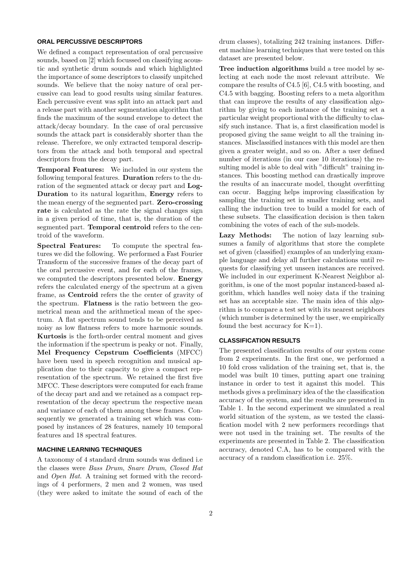## **ORAL PERCUSSIVE DESCRIPTORS**

We defined a compact representation of oral percussive sounds, based on [2] which focussed on classifying acoustic and synthetic drum sounds and which highlighted the importance of some descriptors to classify unpitched sounds. We believe that the noisy nature of oral percussive can lead to good results using similar features. Each percussive event was split into an attack part and a release part with another segmentation algorithm that finds the maximum of the sound envelope to detect the attack/decay boundary. In the case of oral percussive sounds the attack part is considerably shorter than the release. Therefore, we only extracted temporal descriptors from the attack and both temporal and spectral descriptors from the decay part.

Temporal Features: We included in our system the following temporal features. Duration refers to the duration of the segmented attack or decay part and Log-Duration to its natural logarithm, Energy refers to the mean energy of the segmented part. Zero-crossing rate is calculated as the rate the signal changes sign in a given period of time, that is, the duration of the segmented part. Temporal centroid refers to the centroid of the waveform.

Spectral Features: To compute the spectral features we did the following. We performed a Fast Fourier Transform of the successive frames of the decay part of the oral percussive event, and for each of the frames, we computed the descriptors presented below. Energy refers the calculated energy of the spectrum at a given frame, as Centroid refers the the center of gravity of the spectrum. Flatness is the ratio between the geometrical mean and the arithmetical mean of the spectrum. A flat spectrum sound tends to be perceived as noisy as low flatness refers to more harmonic sounds. Kurtosis is the forth-order central moment and gives the information if the spectrum is peaky or not. Finally, Mel Frequency Cepstrum Coefficients (MFCC) have been used in speech recognition and musical application due to their capacity to give a compact representation of the spectrum. We retained the first five MFCC. These descriptors were computed for each frame of the decay part and and we retained as a compact representation of the decay spectrum the respective mean and variance of each of them among these frames. Consequently we generated a training set which was composed by instances of 28 features, namely 10 temporal features and 18 spectral features.

#### **MACHINE LEARNING TECHNIQUES**

A taxonomy of 4 standard drum sounds was defined i.e the classes were Bass Drum, Snare Drum, Closed Hat and Open Hat. A training set formed with the recordings of 4 performers, 2 men and 2 women, was used (they were asked to imitate the sound of each of the

drum classes), totalizing 242 training instances. Different machine learning techniques that were tested on this dataset are presented below.

Tree induction algorithms build a tree model by selecting at each node the most relevant attribute. We compare the results of C4.5 [6], C4.5 with boosting, and C4.5 with bagging. Boosting refers to a meta algorithm that can improve the results of any classification algorithm by giving to each instance of the training set a particular weight proportional with the difficulty to classify such instance. That is, a first classification model is proposed giving the same weight to all the training instances. Misclassified instances with this model are then given a greater weight, and so on. After a user defined number of iterations (in our case 10 iterations) the resulting model is able to deal with "difficult" training instances. This boosting method can drastically improve the results of an inaccurate model, thought overfitting can occur. Bagging helps improving classification by sampling the training set in smaller training sets, and calling the induction tree to build a model for each of these subsets. The classification decision is then taken combining the votes of each of the sub-models.

Lazy Methods: The notion of lazy learning subsumes a family of algorithms that store the complete set of given (classified) examples of an underlying example language and delay all further calculations until requests for classifying yet unseen instances are received. We included in our experiment K-Nearest Neighbor algorithm, is one of the most popular instanced-based algorithm, which handles well noisy data if the training set has an acceptable size. The main idea of this algorithm is to compare a test set with its nearest neighbors (which number is determined by the user, we empirically found the best accuracy for  $K=1$ ).

## **CLASSIFICATION RESULTS**

The presented classification results of our system come from 2 experiments. In the first one, we performed a 10 fold cross validation of the training set, that is, the model was built 10 times, putting apart one training instance in order to test it against this model. This methods gives a preliminary idea of the the classification accuracy of the system, and the results are presented in Table 1. In the second experiment we simulated a real world situation of the system, as we tested the classification model with 2 new performers recordings that were not used in the training set. The results of the experiments are presented in Table 2. The classification accuracy, denoted C.A, has to be compared with the accuracy of a random classification i.e. 25%.